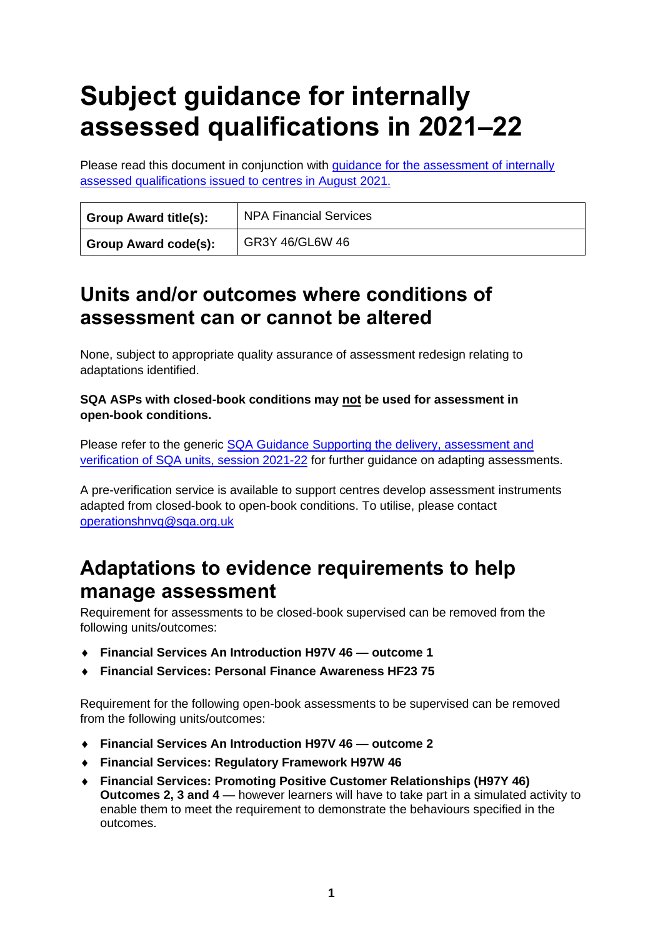# **Subject guidance for internally assessed qualifications in 2021–22**

Please read this document in conjunction with [guidance for the assessment of internally](https://www.sqa.org.uk/sqa/95044.html)  [assessed qualifications issued to centres in August 2021.](https://www.sqa.org.uk/sqa/95044.html)

| Group Award title(s): | <b>NPA Financial Services</b> |
|-----------------------|-------------------------------|
| Group Award code(s):  | GR3Y 46/GL6W 46               |

### **Units and/or outcomes where conditions of assessment can or cannot be altered**

None, subject to appropriate quality assurance of assessment redesign relating to adaptations identified.

#### **SQA ASPs with closed-book conditions may not be used for assessment in open-book conditions.**

Please refer to the generic **SQA Guidance Supporting the delivery, assessment and** [verification of SQA units, session 2021-22](https://www.sqa.org.uk/sqa/files_ccc/Supporting-the-delivery-and-assessment-of-HNVQ-in-2020-21.pdf) for further guidance on adapting assessments.

A pre-verification service is available to support centres develop assessment instruments adapted from closed-book to open-book conditions. To utilise, please contact [operationshnvq@sqa.org.uk](mailto:operationshnvq@sqa.org.uk)

### **Adaptations to evidence requirements to help manage assessment**

Requirement for assessments to be closed-book supervised can be removed from the following units/outcomes:

- **Financial Services An Introduction H97V 46 — outcome 1**
- **Financial Services: Personal Finance Awareness HF23 75**

Requirement for the following open-book assessments to be supervised can be removed from the following units/outcomes:

- **Financial Services An Introduction H97V 46 — outcome 2**
- **Financial Services: Regulatory Framework H97W 46**
- **Financial Services: Promoting Positive Customer Relationships (H97Y 46) Outcomes 2, 3 and 4** — however learners will have to take part in a simulated activity to enable them to meet the requirement to demonstrate the behaviours specified in the outcomes.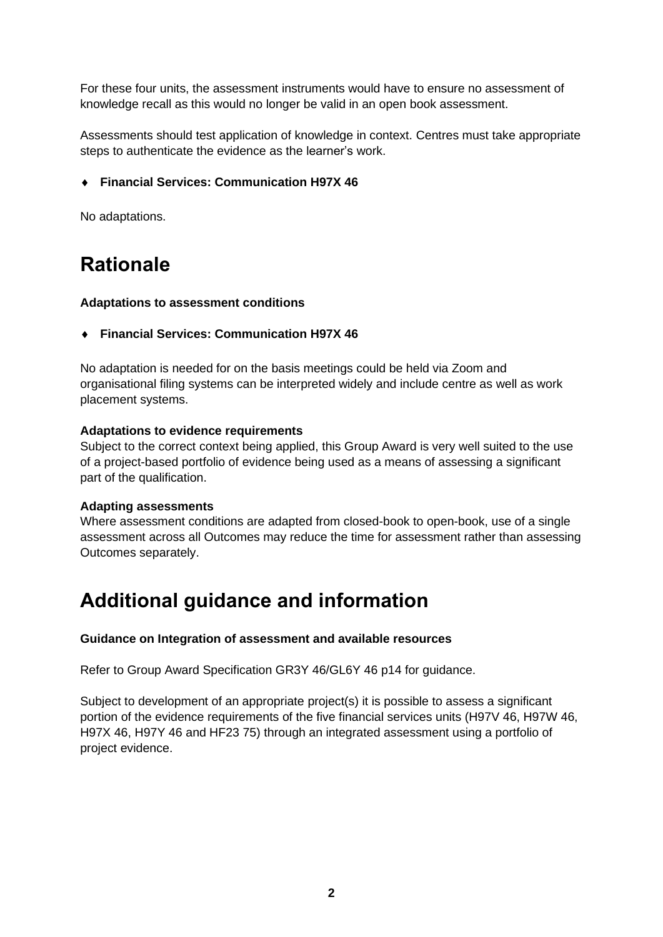For these four units, the assessment instruments would have to ensure no assessment of knowledge recall as this would no longer be valid in an open book assessment.

Assessments should test application of knowledge in context. Centres must take appropriate steps to authenticate the evidence as the learner's work.

#### **Financial Services: Communication H97X 46**

No adaptations.

# **Rationale**

#### **Adaptations to assessment conditions**

**Financial Services: Communication H97X 46** 

No adaptation is needed for on the basis meetings could be held via Zoom and organisational filing systems can be interpreted widely and include centre as well as work placement systems.

#### **Adaptations to evidence requirements**

Subject to the correct context being applied, this Group Award is very well suited to the use of a project-based portfolio of evidence being used as a means of assessing a significant part of the qualification.

#### **Adapting assessments**

Where assessment conditions are adapted from closed-book to open-book, use of a single assessment across all Outcomes may reduce the time for assessment rather than assessing Outcomes separately.

# **Additional guidance and information**

#### **Guidance on Integration of assessment and available resources**

Refer to Group Award Specification [GR3Y 46/](https://www.sqa.org.uk/sqa/files_ccc/GR3Y46.pdf)[GL6Y 46](https://www.sqa.org.uk/sqa/files_ccc/GL6W46.pdf) p14 for guidance.

Subject to development of an appropriate project(s) it is possible to assess a significant portion of the evidence requirements of the five financial services units (H97V 46, H97W 46, H97X 46, H97Y 46 and HF23 75) through an integrated assessment using a portfolio of project evidence.